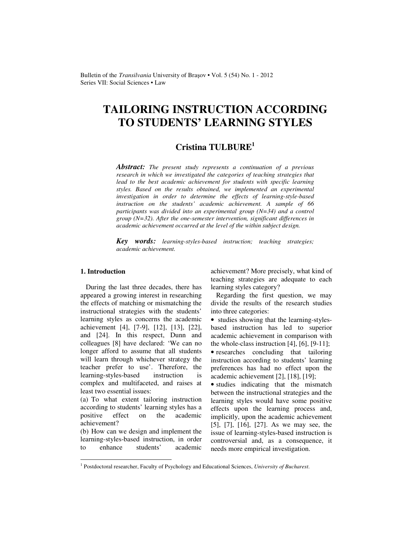Bulletin of the *Transilvania* University of Braşov • Vol. 5 (54) No. 1 - 2012 Series VII: Social Sciences • Law

# **TAILORING INSTRUCTION ACCORDING TO STUDENTS' LEARNING STYLES**

## **Cristina TULBURE<sup>1</sup>**

*Abstract: The present study represents a continuation of a previous research in which we investigated the categories of teaching strategies that lead to the best academic achievement for students with specific learning styles. Based on the results obtained, we implemented an experimental investigation in order to determine the effects of learning-style-based instruction on the students' academic achievement. A sample of 66 participants was divided into an experimental group (N=34) and a control group (N=32). After the one-semester intervention, significant differences in academic achievement occurred at the level of the within subject design.* 

*Key words: learning-styles-based instruction; teaching strategies; academic achievement.* 

#### **1. Introduction**

 $\overline{a}$ 

During the last three decades, there has appeared a growing interest in researching the effects of matching or mismatching the instructional strategies with the students' learning styles as concerns the academic achievement [4], [7-9], [12], [13], [22], and [24]. In this respect, Dunn and colleagues [8] have declared: 'We can no longer afford to assume that all students will learn through whichever strategy the teacher prefer to use'. Therefore, the learning-styles-based instruction is complex and multifaceted, and raises at least two essential issues:

(a) To what extent tailoring instruction according to students' learning styles has a positive effect on the academic achievement?

(b) How can we design and implement the learning-styles-based instruction, in order to enhance students' academic achievement? More precisely, what kind of teaching strategies are adequate to each learning styles category?

 Regarding the first question, we may divide the results of the research studies into three categories:

• studies showing that the learning-stylesbased instruction has led to superior academic achievement in comparison with the whole-class instruction [4], [6], [9-11]; • researches concluding that tailoring instruction according to students' learning preferences has had no effect upon the academic achievement [2], [18], [19];

• studies indicating that the mismatch between the instructional strategies and the learning styles would have some positive effects upon the learning process and, implicitly, upon the academic achievement [5], [7], [16], [27]. As we may see, the issue of learning-styles-based instruction is controversial and, as a consequence, it needs more empirical investigation.

<sup>1</sup> Postdoctoral researcher, Faculty of Psychology and Educational Sciences, *University of Bucharest*.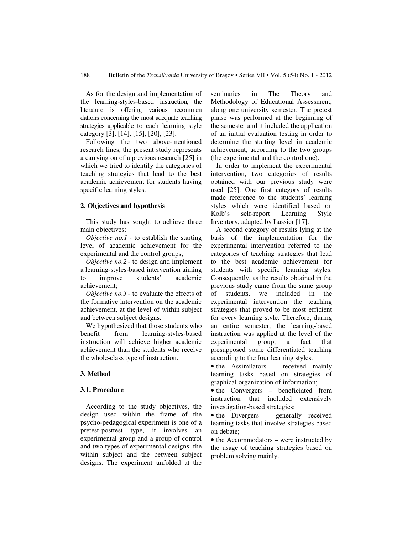As for the design and implementation of the learning-styles-based instruction, the literature is offering various recommen dations concerning the most adequate teaching strategies applicable to each learning style category [3], [14], [15], [20], [23].

 Following the two above-mentioned research lines, the present study represents a carrying on of a previous research [25] in which we tried to identify the categories of teaching strategies that lead to the best academic achievement for students having specific learning styles.

#### **2. Objectives and hypothesis**

This study has sought to achieve three main objectives:

*Objective no.1* - to establish the starting level of academic achievement for the experimental and the control groups;

 *Objective no.2* - to design and implement a learning-styles-based intervention aiming to improve students' academic achievement;

 *Objective no.3* - to evaluate the effects of the formative intervention on the academic achievement, at the level of within subject and between subject designs.

 We hypothesized that those students who benefit from learning-styles-based instruction will achieve higher academic achievement than the students who receive the whole-class type of instruction.

#### **3. Method**

#### **3.1. Procedure**

According to the study objectives, the design used within the frame of the psycho-pedagogical experiment is one of a pretest-posttest type, it involves an experimental group and a group of control and two types of experimental designs: the within subject and the between subject designs. The experiment unfolded at the seminaries in The Theory and Methodology of Educational Assessment, along one university semester. The pretest phase was performed at the beginning of the semester and it included the application of an initial evaluation testing in order to determine the starting level in academic achievement, according to the two groups (the experimental and the control one).

In order to implement the experimental intervention, two categories of results obtained with our previous study were used [25]. One first category of results made reference to the students' learning styles which were identified based on Kolb's self-report Learning Style Inventory, adapted by Lussier [17].

 A second category of results lying at the basis of the implementation for the experimental intervention referred to the categories of teaching strategies that lead to the best academic achievement for students with specific learning styles. Consequently, as the results obtained in the previous study came from the same group of students, we included in the experimental intervention the teaching strategies that proved to be most efficient for every learning style. Therefore, during an entire semester, the learning-based instruction was applied at the level of the experimental group, a fact that presupposed some differentiated teaching according to the four learning styles:

• the Assimilators – received mainly learning tasks based on strategies of graphical organization of information;

• the Convergers – beneficiated from instruction that included extensively investigation-based strategies;

• the Divergers – generally received learning tasks that involve strategies based on debate;

• the Accommodators – were instructed by the usage of teaching strategies based on problem solving mainly.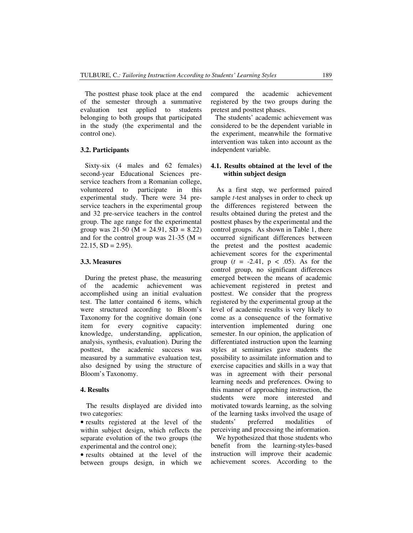The posttest phase took place at the end of the semester through a summative evaluation test applied to students belonging to both groups that participated in the study (the experimental and the control one).

#### **3.2. Participants**

Sixty-six (4 males and 62 females) second-year Educational Sciences preservice teachers from a Romanian college, volunteered to participate in this experimental study. There were 34 preservice teachers in the experimental group and 32 pre-service teachers in the control group. The age range for the experimental group was 21-50 (M = 24.91, SD = 8.22) and for the control group was  $21-35$  (M =  $22.15$ ,  $SD = 2.95$ ).

#### **3.3. Measures**

During the pretest phase, the measuring of the academic achievement was accomplished using an initial evaluation test. The latter contained 6 items, which were structured according to Bloom's Taxonomy for the cognitive domain (one item for every cognitive capacity: knowledge, understanding, application, analysis, synthesis, evaluation). During the posttest, the academic success was measured by a summative evaluation test, also designed by using the structure of Bloom's Taxonomy.

#### **4. Results**

The results displayed are divided into two categories:

• results registered at the level of the within subject design, which reflects the separate evolution of the two groups (the experimental and the control one);

• results obtained at the level of the between groups design, in which we compared the academic achievement registered by the two groups during the pretest and posttest phases.

The students' academic achievement was considered to be the dependent variable in the experiment, meanwhile the formative intervention was taken into account as the independent variable.

#### **4.1. Results obtained at the level of the within subject design**

As a first step, we performed paired sample *t*-test analyses in order to check up the differences registered between the results obtained during the pretest and the posttest phases by the experimental and the control groups. As shown in Table 1, there occurred significant differences between the pretest and the posttest academic achievement scores for the experimental group  $(t = -2.41, p < .05)$ . As for the control group, no significant differences emerged between the means of academic achievement registered in pretest and posttest. We consider that the progress registered by the experimental group at the level of academic results is very likely to come as a consequence of the formative intervention implemented during one semester. In our opinion, the application of differentiated instruction upon the learning styles at seminaries gave students the possibility to assimilate information and to exercise capacities and skills in a way that was in agreement with their personal learning needs and preferences. Owing to this manner of approaching instruction, the students were more interested and motivated towards learning, as the solving of the learning tasks involved the usage of students' preferred modalities of perceiving and processing the information.

We hypothesized that those students who benefit from the learning-styles-based instruction will improve their academic achievement scores. According to the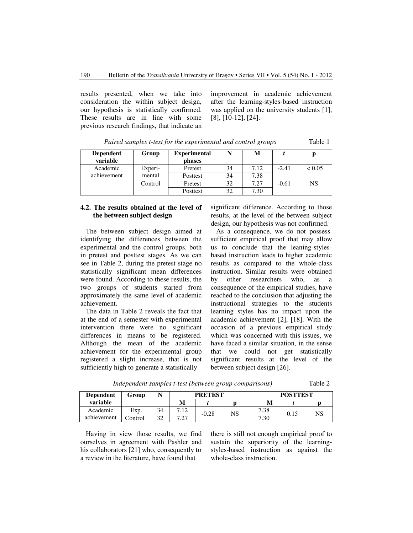results presented, when we take into consideration the within subject design, our hypothesis is statistically confirmed. These results are in line with some previous research findings, that indicate an improvement in academic achievement after the learning-styles-based instruction was applied on the university students [1], [8], [10-12], [24].

| <b>Dependent</b><br>variable | Group   | <b>Experimental</b><br>phases | N  | М    |         |        |
|------------------------------|---------|-------------------------------|----|------|---------|--------|
| Academic                     | Experi- | Pretest                       | 34 | 7.12 | $-2.41$ | < 0.05 |
| achievement                  | mental  | Posttest                      | 34 | 7.38 |         |        |
|                              | Control | Pretest                       | 32 | 7.27 | $-0.61$ | NS     |
|                              |         | Posttest                      | 32 | 7.30 |         |        |

*Paired samples t-test for the experimental and control groups* Table 1

**4.2. The results obtained at the level of the between subject design** 

The between subject design aimed at identifying the differences between the experimental and the control groups, both in pretest and posttest stages. As we can see in Table 2, during the pretest stage no statistically significant mean differences were found. According to these results, the two groups of students started from approximately the same level of academic achievement.

The data in Table 2 reveals the fact that at the end of a semester with experimental intervention there were no significant differences in means to be registered. Although the mean of the academic achievement for the experimental group registered a slight increase, that is not sufficiently high to generate a statistically

significant difference. According to those results, at the level of the between subject design, our hypothesis was not confirmed.

 As a consequence, we do not possess sufficient empirical proof that may allow us to conclude that the leaning-stylesbased instruction leads to higher academic results as compared to the whole-class instruction. Similar results were obtained by other researchers who, as a consequence of the empirical studies, have reached to the conclusion that adjusting the instructional strategies to the students learning styles has no impact upon the academic achievement [2], [18]. With the occasion of a previous empirical study which was concerned with this issues, we have faced a similar situation, in the sense that we could not get statistically significant results at the level of the between subject design [26].

 *Independent samples t-test (between group comparisons)* Table 2

| <b>Dependent</b> | Group   |    |             | <b>PRETEST</b> |    | <b>POSTTEST</b> |      |    |
|------------------|---------|----|-------------|----------------|----|-----------------|------|----|
| variable         |         |    | M           |                |    | M               |      |    |
| Academic         | Exp.    | 34 | 7.12        | $-0.28$        | NS | 7.38            | 0.15 | NS |
| achievement      | Control | 32 | דר ד<br>ا ک |                |    | 7.30            |      |    |

Having in view those results, we find ourselves in agreement with Pashler and his collaborators [21] who, consequently to a review in the literature, have found that

there is still not enough empirical proof to sustain the superiority of the learningstyles-based instruction as against the whole-class instruction.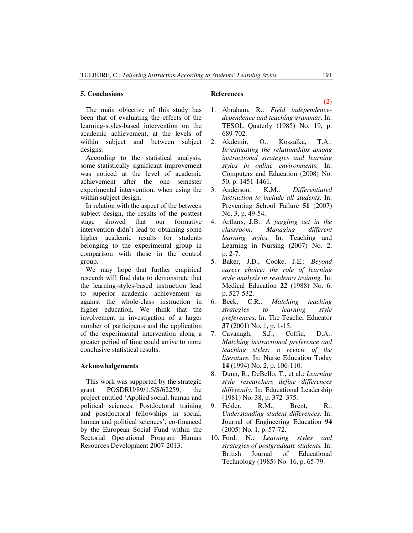#### **5. Conclusions**

 The main objective of this study has been that of evaluating the effects of the learning-styles-based intervention on the academic achievement, at the levels of within subject and between subject designs.

According to the statistical analysis, some statistically significant improvement was noticed at the level of academic achievement after the one semester experimental intervention, when using the within subject design.

In relation with the aspect of the between subject design, the results of the posttest stage showed that our formative intervention didn't lead to obtaining some higher academic results for students belonging to the experimental group in comparison with those in the control group.

We may hope that further empirical research will find data to demonstrate that the learning-styles-based instruction lead to superior academic achievement as against the whole-class instruction in higher education. We think that the involvement in investigation of a larger number of participants and the application of the experimental intervention along a greater period of time could arrive to more conclusive statistical results.

#### **Acknowledgements**

This work was supported by the strategic grant POSDRU/89/1.5/S/62259, the project entitled 'Applied social, human and political sciences. Postdoctoral training and postdoctoral fellowships in social, human and political sciences', co-financed by the European Social Fund within the Sectorial Operational Program Human Resources Development 2007-2013.

### **References**

- 1. Abraham, R.: *Field independencedependence and teaching grammar*. In: TESOL Quaterly (1985) No. 19, p. 689-702.
- 2. Akdemir, O., Koszalka, T.A.: *Investigating the relationships among instructional strategies and learning styles in online environments.* In: Computers and Education (2008) No. 50, p. 1451-1461.
- 3. Anderson, K.M.: *Differentiated instruction to include all students*. In: Preventing School Failure **51** (2007) No. 3, p. 49-54.
- 4. Arthurs, J.B.: *A juggling act in the classroom: Managing different learning styles.* In: Teaching and Learning in Nursing (2007) No. 2, p. 2-7.
- 5. Baker, J.D., Cooke, J.E.: *Beyond career choice: the role of learning style analysis in residency training.* In: Medical Education **22** (1988) No. 6, p. 527-532.
- 6. Beck, C.R.: *Matching teaching strategies to learning style preferences*. In: The Teacher Educator **37** (2001) No. 1, p. 1-15.
- 7. Cavanagh, S.J., Coffin, D.A.: *Matching instructional preference and teaching styles: a review of the literature.* In: Nurse Education Today **14** (1994) No. 2, p. 106-110.
- 8. Dunn, R., DeBello, T., et al.: *Learning style researchers define differences differently*. In: Educational Leadership (1981) No. 38, p. 372–375.
- 9. Felder, R.M., Brent, R.: *Understanding student differences*. In: Journal of Engineering Education **94**  (2005) No. 1, p. 57-72.
- 10. Ford, N.: *Learning styles and strategies of postgraduate students.* In: British Journal of Educational Technology (1985) No. 16, p. 65-79.

(2)